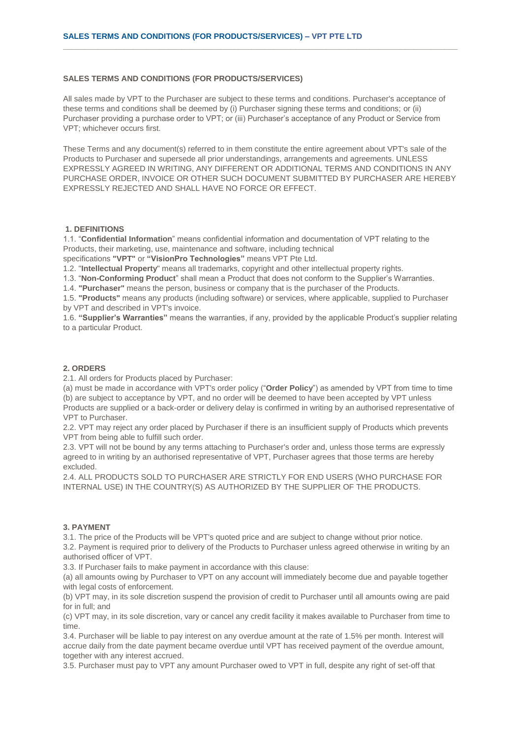### **SALES TERMS AND CONDITIONS (FOR PRODUCTS/SERVICES)**

All sales made by VPT to the Purchaser are subject to these terms and conditions. Purchaser's acceptance of these terms and conditions shall be deemed by (i) Purchaser signing these terms and conditions; or (ii) Purchaser providing a purchase order to VPT; or (iii) Purchaser's acceptance of any Product or Service from VPT; whichever occurs first.

**\_\_\_\_\_\_\_\_\_\_\_\_\_\_\_\_\_\_\_\_\_\_\_\_\_\_\_\_\_\_\_\_\_\_\_\_\_\_\_\_\_\_\_\_\_\_\_\_\_\_\_\_\_\_\_\_\_\_\_\_\_\_\_\_\_\_\_\_\_\_\_\_\_\_\_\_\_\_\_\_\_\_\_\_\_\_\_\_\_\_**

These Terms and any document(s) referred to in them constitute the entire agreement about VPT's sale of the Products to Purchaser and supersede all prior understandings, arrangements and agreements. UNLESS EXPRESSLY AGREED IN WRITING, ANY DIFFERENT OR ADDITIONAL TERMS AND CONDITIONS IN ANY PURCHASE ORDER, INVOICE OR OTHER SUCH DOCUMENT SUBMITTED BY PURCHASER ARE HEREBY EXPRESSLY REJECTED AND SHALL HAVE NO FORCE OR EFFECT.

# **1. DEFINITIONS**

1.1. "**Confidential Information**" means confidential information and documentation of VPT relating to the Products, their marketing, use, maintenance and software, including technical

specifications **"VPT"** or **"VisionPro Technologies"** means VPT Pte Ltd.

1.2. "**Intellectual Property**" means all trademarks, copyright and other intellectual property rights.

1.3. "**Non-Conforming Product**" shall mean a Product that does not conform to the Supplier's Warranties.

1.4. **"Purchaser"** means the person, business or company that is the purchaser of the Products.

1.5. **"Products"** means any products (including software) or services, where applicable, supplied to Purchaser by VPT and described in VPT's invoice.

1.6. **"Supplier's Warranties"** means the warranties, if any, provided by the applicable Product's supplier relating to a particular Product.

# **2. ORDERS**

2.1. All orders for Products placed by Purchaser:

(a) must be made in accordance with VPT's order policy ("**Order Policy**") as amended by VPT from time to time (b) are subject to acceptance by VPT, and no order will be deemed to have been accepted by VPT unless Products are supplied or a back-order or delivery delay is confirmed in writing by an authorised representative of VPT to Purchaser.

2.2. VPT may reject any order placed by Purchaser if there is an insufficient supply of Products which prevents VPT from being able to fulfill such order.

2.3. VPT will not be bound by any terms attaching to Purchaser's order and, unless those terms are expressly agreed to in writing by an authorised representative of VPT, Purchaser agrees that those terms are hereby excluded.

2.4. ALL PRODUCTS SOLD TO PURCHASER ARE STRICTLY FOR END USERS (WHO PURCHASE FOR INTERNAL USE) IN THE COUNTRY(S) AS AUTHORIZED BY THE SUPPLIER OF THE PRODUCTS.

#### **3. PAYMENT**

3.1. The price of the Products will be VPT's quoted price and are subject to change without prior notice.

3.2. Payment is required prior to delivery of the Products to Purchaser unless agreed otherwise in writing by an authorised officer of VPT.

3.3. If Purchaser fails to make payment in accordance with this clause:

(a) all amounts owing by Purchaser to VPT on any account will immediately become due and payable together with legal costs of enforcement.

(b) VPT may, in its sole discretion suspend the provision of credit to Purchaser until all amounts owing are paid for in full; and

(c) VPT may, in its sole discretion, vary or cancel any credit facility it makes available to Purchaser from time to time.

3.4. Purchaser will be liable to pay interest on any overdue amount at the rate of 1.5% per month. Interest will accrue daily from the date payment became overdue until VPT has received payment of the overdue amount, together with any interest accrued.

3.5. Purchaser must pay to VPT any amount Purchaser owed to VPT in full, despite any right of set-off that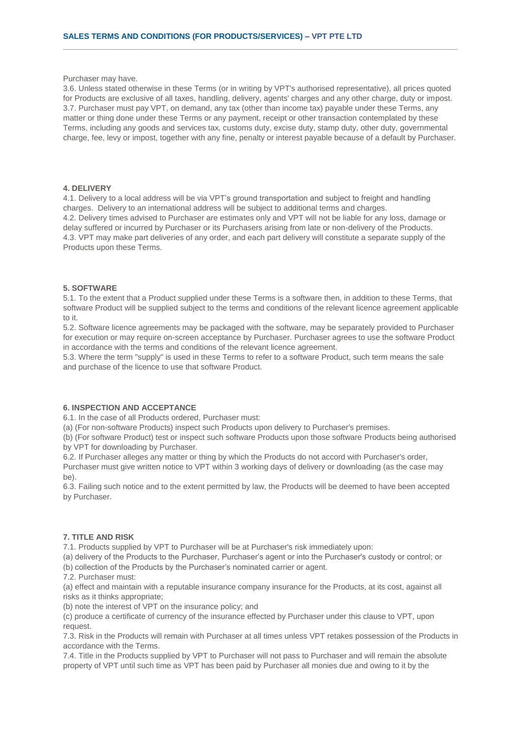Purchaser may have.

3.6. Unless stated otherwise in these Terms (or in writing by VPT's authorised representative), all prices quoted for Products are exclusive of all taxes, handling, delivery, agents' charges and any other charge, duty or impost. 3.7. Purchaser must pay VPT, on demand, any tax (other than income tax) payable under these Terms, any matter or thing done under these Terms or any payment, receipt or other transaction contemplated by these Terms, including any goods and services tax, customs duty, excise duty, stamp duty, other duty, governmental charge, fee, levy or impost, together with any fine, penalty or interest payable because of a default by Purchaser.

**\_\_\_\_\_\_\_\_\_\_\_\_\_\_\_\_\_\_\_\_\_\_\_\_\_\_\_\_\_\_\_\_\_\_\_\_\_\_\_\_\_\_\_\_\_\_\_\_\_\_\_\_\_\_\_\_\_\_\_\_\_\_\_\_\_\_\_\_\_\_\_\_\_\_\_\_\_\_\_\_\_\_\_\_\_\_\_\_\_\_**

# **4. DELIVERY**

4.1. Delivery to a local address will be via VPT's ground transportation and subject to freight and handling charges. Delivery to an international address will be subject to additional terms and charges. 4.2. Delivery times advised to Purchaser are estimates only and VPT will not be liable for any loss, damage or delay suffered or incurred by Purchaser or its Purchasers arising from late or non-delivery of the Products. 4.3. VPT may make part deliveries of any order, and each part delivery will constitute a separate supply of the Products upon these Terms.

### **5. SOFTWARE**

5.1. To the extent that a Product supplied under these Terms is a software then, in addition to these Terms, that software Product will be supplied subject to the terms and conditions of the relevant licence agreement applicable to it.

5.2. Software licence agreements may be packaged with the software, may be separately provided to Purchaser for execution or may require on-screen acceptance by Purchaser. Purchaser agrees to use the software Product in accordance with the terms and conditions of the relevant licence agreement.

5.3. Where the term "supply" is used in these Terms to refer to a software Product, such term means the sale and purchase of the licence to use that software Product.

# **6. INSPECTION AND ACCEPTANCE**

6.1. In the case of all Products ordered, Purchaser must:

(a) (For non-software Products) inspect such Products upon delivery to Purchaser's premises.

(b) (For software Product) test or inspect such software Products upon those software Products being authorised by VPT for downloading by Purchaser.

6.2. If Purchaser alleges any matter or thing by which the Products do not accord with Purchaser's order,

Purchaser must give written notice to VPT within 3 working days of delivery or downloading (as the case may be).

6.3. Failing such notice and to the extent permitted by law, the Products will be deemed to have been accepted by Purchaser.

# **7. TITLE AND RISK**

7.1. Products supplied by VPT to Purchaser will be at Purchaser's risk immediately upon:

(a) delivery of the Products to the Purchaser, Purchaser's agent or into the Purchaser's custody or control; or

(b) collection of the Products by the Purchaser's nominated carrier or agent.

7.2. Purchaser must:

(a) effect and maintain with a reputable insurance company insurance for the Products, at its cost, against all risks as it thinks appropriate;

(b) note the interest of VPT on the insurance policy; and

(c) produce a certificate of currency of the insurance effected by Purchaser under this clause to VPT, upon request.

7.3. Risk in the Products will remain with Purchaser at all times unless VPT retakes possession of the Products in accordance with the Terms.

7.4. Title in the Products supplied by VPT to Purchaser will not pass to Purchaser and will remain the absolute property of VPT until such time as VPT has been paid by Purchaser all monies due and owing to it by the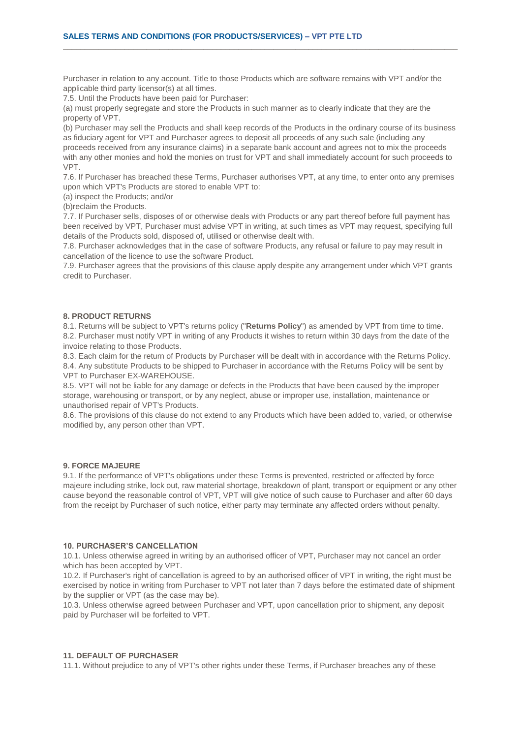Purchaser in relation to any account. Title to those Products which are software remains with VPT and/or the applicable third party licensor(s) at all times.

**\_\_\_\_\_\_\_\_\_\_\_\_\_\_\_\_\_\_\_\_\_\_\_\_\_\_\_\_\_\_\_\_\_\_\_\_\_\_\_\_\_\_\_\_\_\_\_\_\_\_\_\_\_\_\_\_\_\_\_\_\_\_\_\_\_\_\_\_\_\_\_\_\_\_\_\_\_\_\_\_\_\_\_\_\_\_\_\_\_\_**

7.5. Until the Products have been paid for Purchaser:

(a) must properly segregate and store the Products in such manner as to clearly indicate that they are the property of VPT.

(b) Purchaser may sell the Products and shall keep records of the Products in the ordinary course of its business as fiduciary agent for VPT and Purchaser agrees to deposit all proceeds of any such sale (including any proceeds received from any insurance claims) in a separate bank account and agrees not to mix the proceeds with any other monies and hold the monies on trust for VPT and shall immediately account for such proceeds to VPT.

7.6. If Purchaser has breached these Terms, Purchaser authorises VPT, at any time, to enter onto any premises upon which VPT's Products are stored to enable VPT to:

(a) inspect the Products; and/or

(b)reclaim the Products.

7.7. If Purchaser sells, disposes of or otherwise deals with Products or any part thereof before full payment has been received by VPT, Purchaser must advise VPT in writing, at such times as VPT may request, specifying full details of the Products sold, disposed of, utilised or otherwise dealt with.

7.8. Purchaser acknowledges that in the case of software Products, any refusal or failure to pay may result in cancellation of the licence to use the software Product.

7.9. Purchaser agrees that the provisions of this clause apply despite any arrangement under which VPT grants credit to Purchaser.

#### **8. PRODUCT RETURNS**

8.1. Returns will be subject to VPT's returns policy ("**Returns Policy**") as amended by VPT from time to time. 8.2. Purchaser must notify VPT in writing of any Products it wishes to return within 30 days from the date of the invoice relating to those Products.

8.3. Each claim for the return of Products by Purchaser will be dealt with in accordance with the Returns Policy. 8.4. Any substitute Products to be shipped to Purchaser in accordance with the Returns Policy will be sent by VPT to Purchaser EX-WAREHOUSE.

8.5. VPT will not be liable for any damage or defects in the Products that have been caused by the improper storage, warehousing or transport, or by any neglect, abuse or improper use, installation, maintenance or unauthorised repair of VPT's Products.

8.6. The provisions of this clause do not extend to any Products which have been added to, varied, or otherwise modified by, any person other than VPT.

### **9. FORCE MAJEURE**

9.1. If the performance of VPT's obligations under these Terms is prevented, restricted or affected by force majeure including strike, lock out, raw material shortage, breakdown of plant, transport or equipment or any other cause beyond the reasonable control of VPT, VPT will give notice of such cause to Purchaser and after 60 days from the receipt by Purchaser of such notice, either party may terminate any affected orders without penalty.

### **10. PURCHASER'S CANCELLATION**

10.1. Unless otherwise agreed in writing by an authorised officer of VPT, Purchaser may not cancel an order which has been accepted by VPT.

10.2. If Purchaser's right of cancellation is agreed to by an authorised officer of VPT in writing, the right must be exercised by notice in writing from Purchaser to VPT not later than 7 days before the estimated date of shipment by the supplier or VPT (as the case may be).

10.3. Unless otherwise agreed between Purchaser and VPT, upon cancellation prior to shipment, any deposit paid by Purchaser will be forfeited to VPT.

### **11. DEFAULT OF PURCHASER**

11.1. Without prejudice to any of VPT's other rights under these Terms, if Purchaser breaches any of these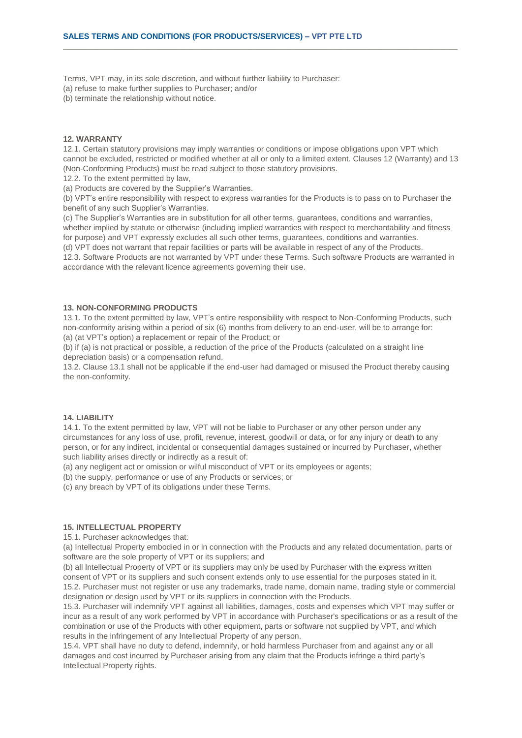Terms, VPT may, in its sole discretion, and without further liability to Purchaser:

(a) refuse to make further supplies to Purchaser; and/or

(b) terminate the relationship without notice.

# **12. WARRANTY**

12.1. Certain statutory provisions may imply warranties or conditions or impose obligations upon VPT which cannot be excluded, restricted or modified whether at all or only to a limited extent. Clauses 12 (Warranty) and 13 (Non-Conforming Products) must be read subject to those statutory provisions.

**\_\_\_\_\_\_\_\_\_\_\_\_\_\_\_\_\_\_\_\_\_\_\_\_\_\_\_\_\_\_\_\_\_\_\_\_\_\_\_\_\_\_\_\_\_\_\_\_\_\_\_\_\_\_\_\_\_\_\_\_\_\_\_\_\_\_\_\_\_\_\_\_\_\_\_\_\_\_\_\_\_\_\_\_\_\_\_\_\_\_**

12.2. To the extent permitted by law,

(a) Products are covered by the Supplier's Warranties.

(b) VPT's entire responsibility with respect to express warranties for the Products is to pass on to Purchaser the benefit of any such Supplier's Warranties.

(c) The Supplier's Warranties are in substitution for all other terms, guarantees, conditions and warranties, whether implied by statute or otherwise (including implied warranties with respect to merchantability and fitness for purpose) and VPT expressly excludes all such other terms, guarantees, conditions and warranties.

(d) VPT does not warrant that repair facilities or parts will be available in respect of any of the Products.

12.3. Software Products are not warranted by VPT under these Terms. Such software Products are warranted in accordance with the relevant licence agreements governing their use.

### **13. NON-CONFORMING PRODUCTS**

13.1. To the extent permitted by law, VPT's entire responsibility with respect to Non-Conforming Products, such non-conformity arising within a period of six (6) months from delivery to an end-user, will be to arrange for: (a) (at VPT's option) a replacement or repair of the Product; or

(b) if (a) is not practical or possible, a reduction of the price of the Products (calculated on a straight line depreciation basis) or a compensation refund.

13.2. Clause 13.1 shall not be applicable if the end-user had damaged or misused the Product thereby causing the non-conformity.

### **14. LIABILITY**

14.1. To the extent permitted by law, VPT will not be liable to Purchaser or any other person under any circumstances for any loss of use, profit, revenue, interest, goodwill or data, or for any injury or death to any person, or for any indirect, incidental or consequential damages sustained or incurred by Purchaser, whether such liability arises directly or indirectly as a result of:

(a) any negligent act or omission or wilful misconduct of VPT or its employees or agents;

(b) the supply, performance or use of any Products or services; or

(c) any breach by VPT of its obligations under these Terms.

# **15. INTELLECTUAL PROPERTY**

15.1. Purchaser acknowledges that:

(a) Intellectual Property embodied in or in connection with the Products and any related documentation, parts or software are the sole property of VPT or its suppliers; and

(b) all Intellectual Property of VPT or its suppliers may only be used by Purchaser with the express written consent of VPT or its suppliers and such consent extends only to use essential for the purposes stated in it. 15.2. Purchaser must not register or use any trademarks, trade name, domain name, trading style or commercial designation or design used by VPT or its suppliers in connection with the Products.

15.3. Purchaser will indemnify VPT against all liabilities, damages, costs and expenses which VPT may suffer or incur as a result of any work performed by VPT in accordance with Purchaser's specifications or as a result of the combination or use of the Products with other equipment, parts or software not supplied by VPT, and which results in the infringement of any Intellectual Property of any person.

15.4. VPT shall have no duty to defend, indemnify, or hold harmless Purchaser from and against any or all damages and cost incurred by Purchaser arising from any claim that the Products infringe a third party's Intellectual Property rights.